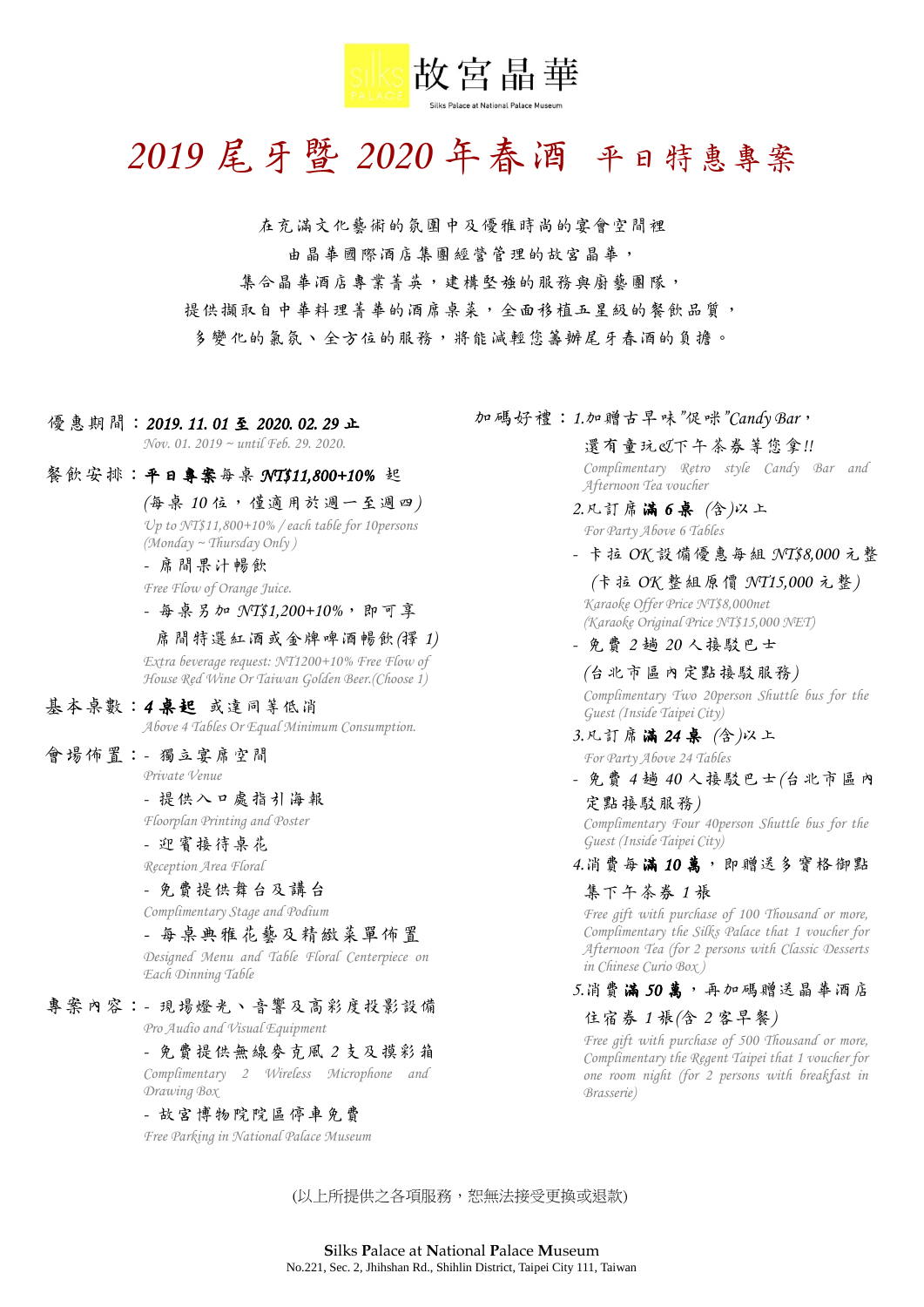

# *2019* 尾牙暨 *2020* 年春酒 平日特惠專案

在充滿文化藝術的氛圍中及優雅時尚的宴會空間裡 由晶華國際酒店集團經營管理的故宮晶華, 集合晶華酒店專業菁英,建構堅強的服務與廚藝團隊, 提供擷取自中華料理普華的酒席桌菜,全面移植五星級的餐飲品質, 多變化的氣氛、全方位的服務,將能減輕您籌辦尾牙春酒的負擔。

- 優惠期間: 2019. 11. 01 至 2020. 02. 29 止 *Nov. 01. 2019 ~ until Feb. 29. 2020.*
- 餐飲安排:平日專案每桌 *NT\$11,800+10%* 起

*(*每桌 *10* 位,僅適用於週一至週四*) Up to NT\$11,800+10% / each table for 10persons (Monday ~ Thursday Only )*

*-* 席間果汁暢飲 *Free Flow of Orange Juice.*

*-* 每桌另加 *NT\$1,200+10%*,即可享

席間特選紅酒或金牌啤酒暢飲*(*擇 *1) Extra beverage request: NT1200+10% Free Flow of House Red Wine Or Taiwan Golden Beer.(Choose 1)*

基本桌數:*4* 桌起 或達同等低消 *Above 4 Tables Or Equal Minimum Consumption.*

會場佈置:*-* 獨立宴席空間

*Private Venue*

*-* 提供入口處指引海報 *Floorplan Printing and Poster*

*-* 迎賓接待桌花

*Reception Area Floral*

*-* 免費提供舞台及講台

*Complimentary Stage and Podium*

*-* 每桌典雅花藝及精緻菜單佈置 *Designed Menu and Table Floral Centerpiece on Each Dinning Table*

專案內容:*-* 現場燈光、音響及高彩度投影設備

*Pro Audio and Visual Equipment*

*-* 免費提供無線麥克風 *2* 支及摸彩箱 *Complimentary 2 Wireless Microphone and Drawing Box*

*-* 故宮博物院院區停車免費

*Free Parking in National Palace Museum*

加碼好禮:*1.*加贈古早味*"*促咪*"Candy Bar*,

還有童玩*&*下午茶券等您拿*!! Complimentary Retro style Candy Bar and Afternoon Tea voucher*

*2.*凡訂席滿 *6* 桌 *(*含*)*以上 *For Party Above 6 Tables*

*-* 卡拉 *OK* 設備優惠每組 *NT\$8,000* 元整

*(*卡拉 *OK* 整組原價 *NT15,000* 元整*) Karaoke Offer Price NT\$8,000net (Karaoke Original Price NT\$15,000 NET)*

*-* 免費 *2* 趟 *20* 人接駁巴士

*(*台北市區內定點接駁服務*) Complimentary Two 20person Shuttle bus for the Guest (Inside Taipei City)*

- *3.*凡訂席滿 *24* 桌 *(*含*)*以上 *For Party Above 24 Tables*
- *-* 免費 *4* 趟 *40* 人接駁巴士*(*台北市區內 定點接駁服務*)*

*Complimentary Four 40person Shuttle bus for the Guest (Inside Taipei City)*

*4.*消費每滿 *10* 萬,即贈送多寶格御點

#### 集下午茶券 *1* 張

*Free gift with purchase of 100 Thousand or more, Complimentary the Silks Palace that 1 voucher for Afternoon Tea (for 2 persons with Classic Desserts in Chinese Curio Box )*

*5.*消費滿 *50* 萬,再加碼贈送晶華酒店

#### 住宿券 *1* 張*(*含 *2* 客早餐*)*

*Free gift with purchase of 500 Thousand or more, Complimentary the Regent Taipei that 1 voucher for one room night (for 2 persons with breakfast in Brasserie)*

(以上所提供之各項服務,恕無法接受更換或退款)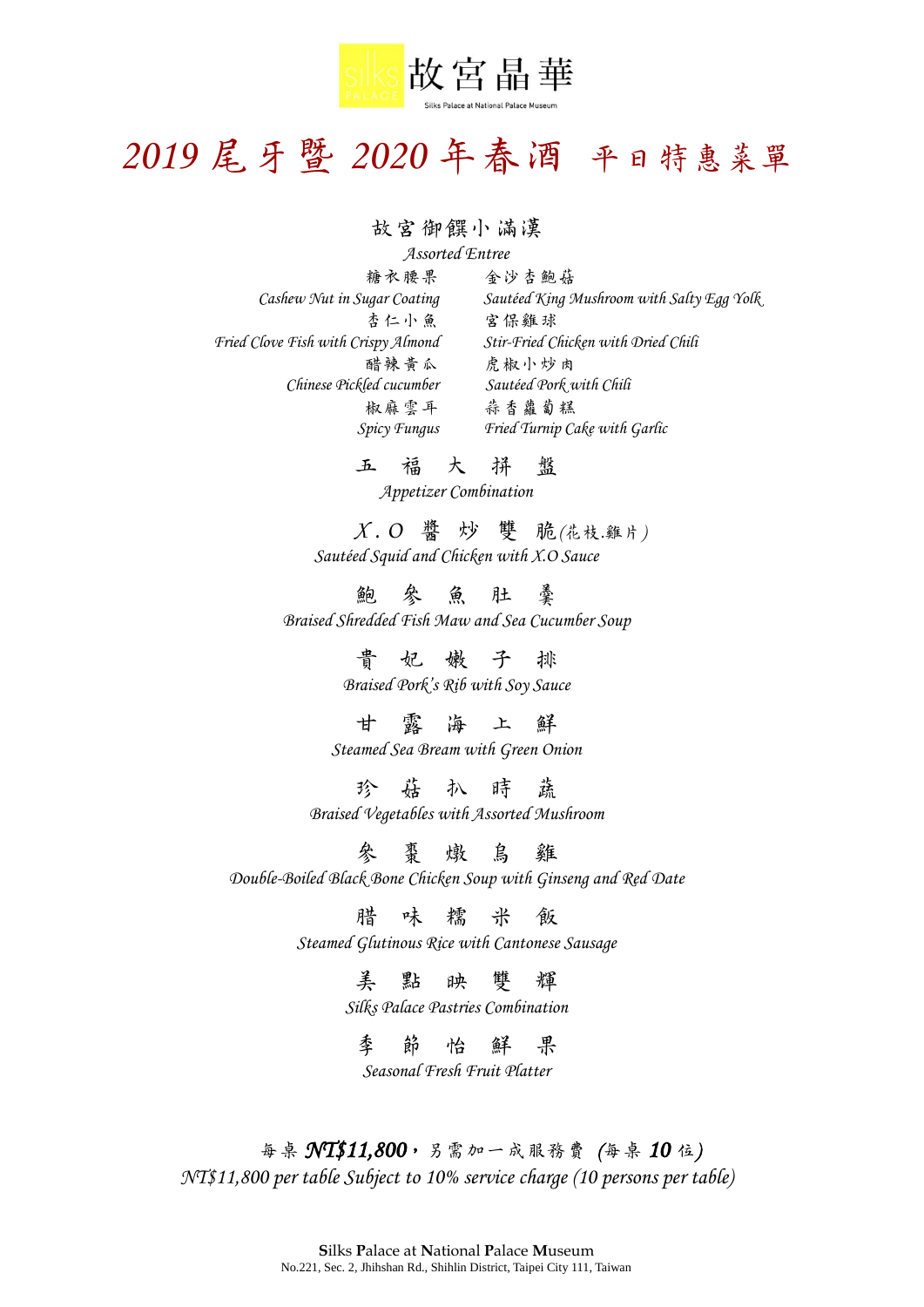

# *2019* 尾牙暨 *2020* 年春酒 平日特惠菜單

## 故宮御饌小滿漢

*Assorted Entree* 糖衣腰果 金沙杏鮑菇 *Cashew Nut in Sugar Coating Sautéed King Mushroom with Salty Egg Yolk* 杏仁小魚 宮保雞球 *Fried Clove Fish with Crispy Almond Stir-Fried Chicken with Dried Chili* 醋辣黃瓜 虎椒小炒肉 *Chinese Pickled cucumber Sautéed Pork with Chili* 椒麻雲耳 蒜香蘿蔔糕 *Spicy Fungus Fried Turnip Cake with Garlic*

五福大拼 盤

*Appetizer Combination*

 *X . O* 醬炒雙 脆*(*花枝*.*雞片*) Sautéed Squid and Chicken with X.O Sauce*

鮑參魚肚 羹 *Braised Shredded Fish Maw and Sea Cucumber Soup*

> 貴 妃 嫩 子 排 *Braised Pork's Rib with Soy Sauce*

甘露海上 鮮 *Steamed Sea Bream with Green Onion*

珍菇扒時 蔬 *Braised Vegetables with Assorted Mushroom*

參棗燉烏 雞 *Double-Boiled Black Bone Chicken Soup with Ginseng and Red Date*

腊味糯米 飯

*Steamed Glutinous Rice with Cantonese Sausage*

美點映雙 輝

*Silks Palace Pastries Combination*

季節怡鮮 果 *Seasonal Fresh Fruit Platter*

每桌 *NT\$11,800*,另需加一成服務費 *(*每桌 *10* 位*) NT\$11,800 per table Subject to 10% service charge (10 persons per table)*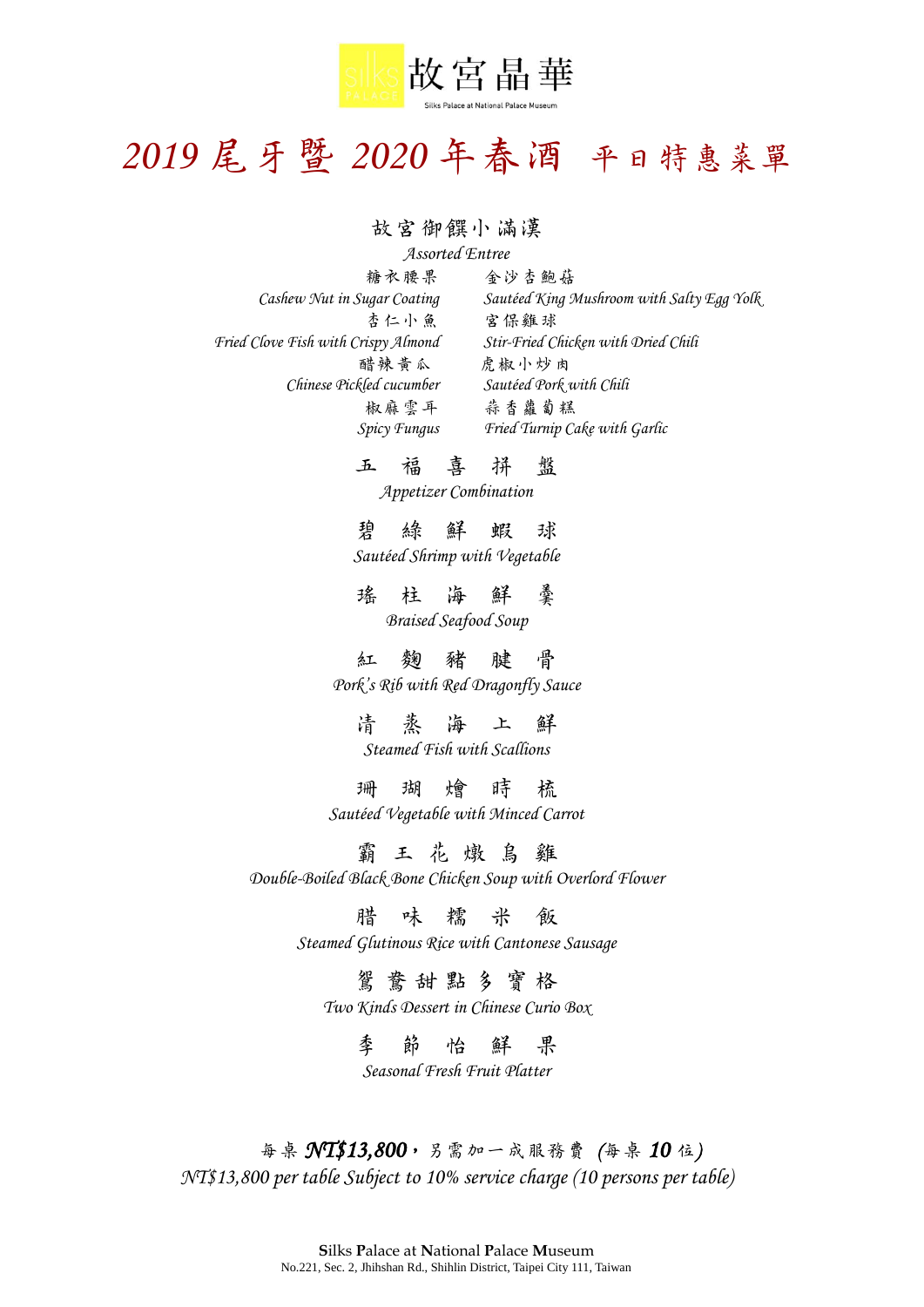

# *2019* 尾牙暨 *2020* 年春酒 平日特惠菜單

## 故宮御饌小滿漢

*Assorted Entree* 杏仁小魚 宮保雞球 *Fried Clove Fish with Crispy Almond Stir-Fried Chicken with Dried Chili* 醋辣黃瓜虎椒小炒肉 *Chinese Pickled cucumber Sautéed Pork with Chili*

糖衣腰果 金沙杏鮑菇 *Cashew Nut in Sugar Coating Sautéed King Mushroom with Salty Egg Yolk* 椒麻雲耳 蒜香蘿蔔糕 *Spicy Fungus Fried Turnip Cake with Garlic*

五福喜 拼 盤

*Appetizer Combination*

碧綠鮮蝦 球 *Sautéed Shrimp with Vegetable*

瑤柱海鮮 羹 *Braised Seafood Soup*

紅麴豬腱 骨 *Pork's Rib with Red Dragonfly Sauce*

清蒸海上 鮮 *Steamed Fish with Scallions*

珊瑚燴時梳 *Sautéed Vegetable with Minced Carrot*

霸王花燉烏雞 *Double-Boiled Black Bone Chicken Soup with Overlord Flower*

腊味糯米 飯

*Steamed Glutinous Rice with Cantonese Sausage*

鴛鴦甜點多 寶 格 *Two Kinds Dessert in Chinese Curio Box*

> 季節怡鮮 果 *Seasonal Fresh Fruit Platter*

每桌 *NT\$13,800*,另需加一成服務費 *(*每桌 *10* 位*) NT\$13,800 per table Subject to 10% service charge (10 persons per table)*

> **S**ilks **P**alace at **N**ational **P**alace **M**useum No.221, Sec. 2, Jhihshan Rd., Shihlin District, Taipei City 111, Taiwan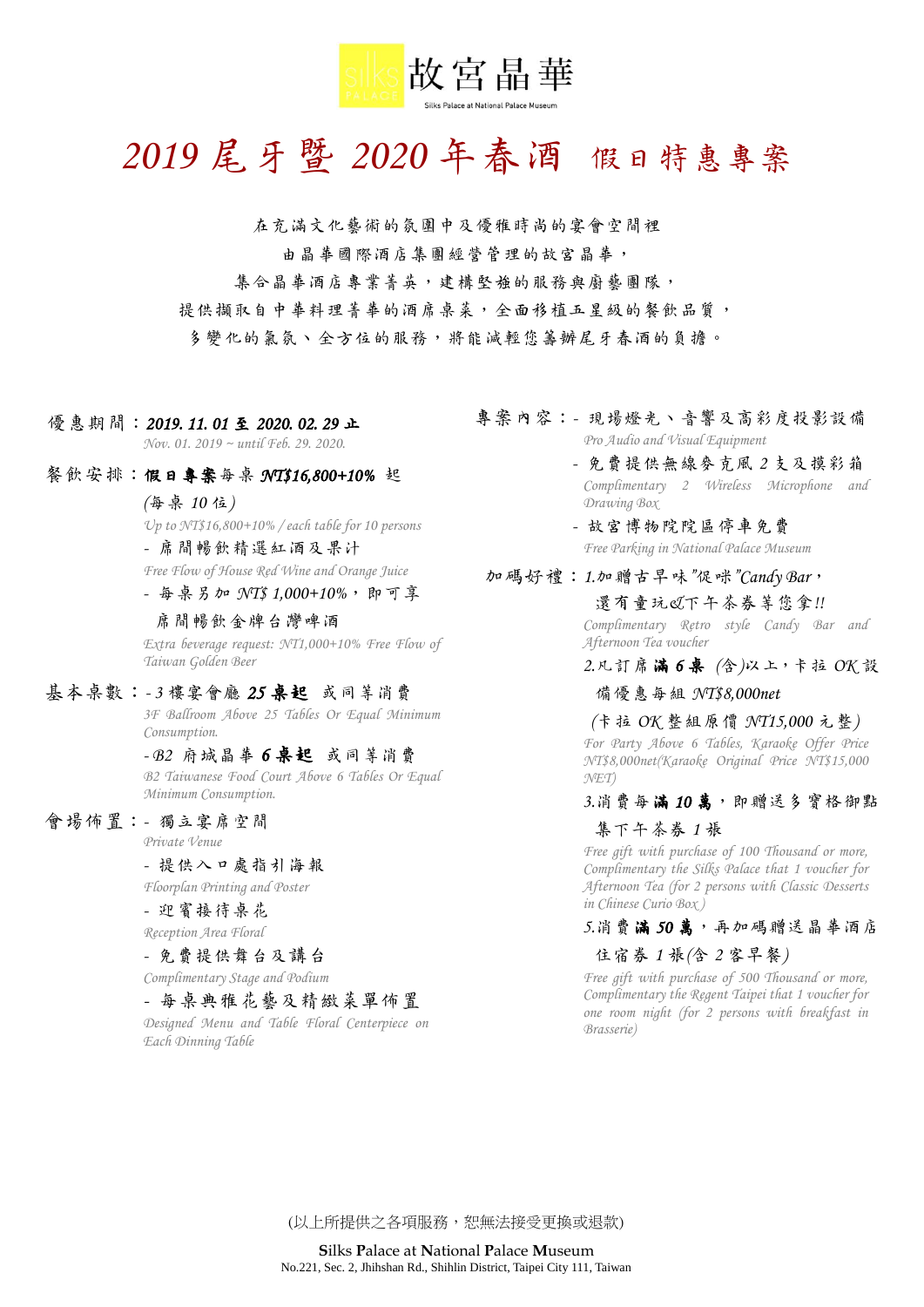

# *2019* 尾牙暨 *2020* 年春酒 假日特惠專案

在充滿文化藝術的氛圍中及優雅時尚的宴會空間裡 由晶華國際酒店集團經營管理的故宮晶華,

集合晶華酒店專業菁英,建構堅強的服務與廚藝團隊,

提供擷取自中華料理菁華的酒席桌菜,全面移植五星級的餐飲品質,

多變化的氣氛、全方位的服務,將能減輕您籌辦尾牙春酒的負擔。

- 優惠期間: 2019. 11. 01 至 2020. 02. 29 止 *Nov. 01. 2019 ~ until Feb. 29. 2020.*
- 餐飲安排:假日專案每桌 *NT\$16,800+10%* 起
	- *(*每桌 *10* 位*)*

*Up to NT\$16,800+10% / each table for 10 persons*

*-* 席間暢飲精選紅酒及果汁

*Free Flow of House Red Wine and Orange Juice -* 每桌另加 *NT\$ 1,000+10%*,即可享

席間暢飲金牌台灣啤酒 *Extra beverage request: NT1,000+10% Free Flow of Taiwan Golden Beer*

#### 基本桌數:*- 3* 樓宴會廳 *25* 桌起或同等消費

*3F Ballroom Above 25 Tables Or Equal Minimum Consumption.*

#### *- B2* 府城晶華 *6* 桌起或同等消費

*B2 Taiwanese Food Court Above 6 Tables Or Equal Minimum Consumption.*

#### 會場佈置:*-* 獨立宴席空間

*Private Venue*

*-* 提供入口處指引海報

*Floorplan Printing and Poster*

## *-* 迎賓接待桌花

*Reception Area Floral*

### *-* 免費提供舞台及講台

*Complimentary Stage and Podium*

### *-* 每桌典雅花藝及精緻菜單佈置

*Designed Menu and Table Floral Centerpiece on Each Dinning Table*

- 專案內容:*-* 現場燈光、音響及高彩度投影設備 *Pro Audio and Visual Equipment*
	- *-* 免費提供無線麥克風 *2* 支及摸彩箱 *Complimentary 2 Wireless Microphone and Drawing Box*
	- *-* 故宮博物院院區停車免費 *Free Parking in National Palace Museum*

#### 加碼好禮:*1.*加贈古早味*"*促咪*"Candy Bar*,

還有童玩*&*下午茶券等您拿*!! Complimentary Retro style Candy Bar and Afternoon Tea voucher*

*2.*凡訂席滿 *6* 桌 *(*含*)*以上,卡拉 *OK* 設

#### 備優惠每組 *NT\$8,000net*

*(*卡拉 *OK* 整組原價 *NT15,000* 元整*) For Party Above 6 Tables, Karaoke Offer Price NT\$8,000net(Karaoke Original Price NT\$15,000 NET)*

#### 3.消費每滿10萬,即贈送多寶格御點

#### 集下午茶券 *1* 張

*Free gift with purchase of 100 Thousand or more, Complimentary the Silks Palace that 1 voucher for Afternoon Tea (for 2 persons with Classic Desserts in Chinese Curio Box )*

## 5.消費滿50萬,再加碼贈送晶華酒店

#### 住宿券 *1* 張*(*含 *2* 客早餐*)*

*Free gift with purchase of 500 Thousand or more, Complimentary the Regent Taipei that 1 voucher for one room night (for 2 persons with breakfast in Brasserie)*

(以上所提供之各項服務,恕無法接受更換或退款)

**S**ilks **P**alace at **N**ational **P**alace **M**useum No.221, Sec. 2, Jhihshan Rd., Shihlin District, Taipei City 111, Taiwan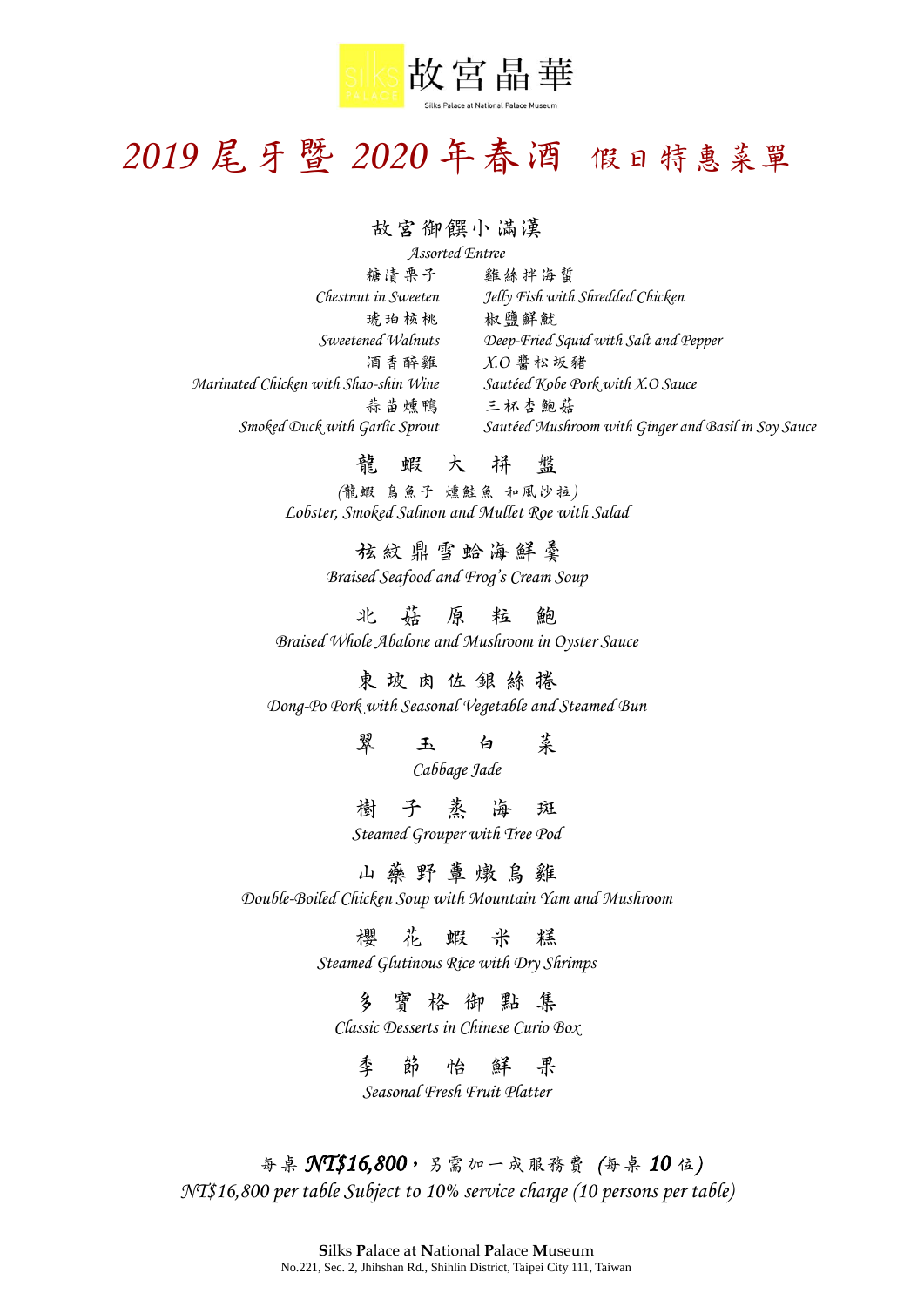

# *2019* 尾牙暨 *2020* 年春酒 假日特惠菜單

### 故宮御饌小滿漢

*Assorted Entree* 糖漬栗子 雞絲拌海蜇 *Chestnut in Sweeten Jelly Fish with Shredded Chicken* 琥珀核桃 椒鹽鮮魷 *Sweetened Walnuts Deep-Fried Squid with Salt and Pepper* 酒香醉雞 *X.O* 醬松坂豬 *Marinated Chicken with Shao-shin Wine Sautéed Kobe Pork with X.O Sauce* 蒜苗燻鴨 三杯杏鮑菇 *Smoked Duck with Garlic Sprout Sautéed Mushroom with Ginger and Basil in Soy Sauce*

# 龍蝦大拼盤

*(*龍蝦 烏魚子 燻鮭魚 和風沙拉*) Lobster, Smoked Salmon and Mullet Roe with Salad*

> 弦紋鼎雪蛤海鮮羹 *Braised Seafood and Frog's Cream Soup*

北菇原粒鮑 *Braised Whole Abalone and Mushroom in Oyster Sauce*

東坡肉佐銀絲 捲 *Dong-Po Pork with Seasonal Vegetable and Steamed Bun*

> 翠玉白菜 *Cabbage Jade*

樹 子 蒸 海 斑 *Steamed Grouper with Tree Pod*

山 藥 野 蕈 燉 島 雞

*Double-Boiled Chicken Soup with Mountain Yam and Mushroom*

櫻花蝦米 糕

*Steamed Glutinous Rice with Dry Shrimps*

多 寶 格 御 點 集

*Classic Desserts in Chinese Curio Box*

季節怡鮮 果 *Seasonal Fresh Fruit Platter*

每桌 *NT\$16,800*,另需加一成服務費 *(*每桌 *10* 位*) NT\$16,800 per table Subject to 10% service charge (10 persons per table)*